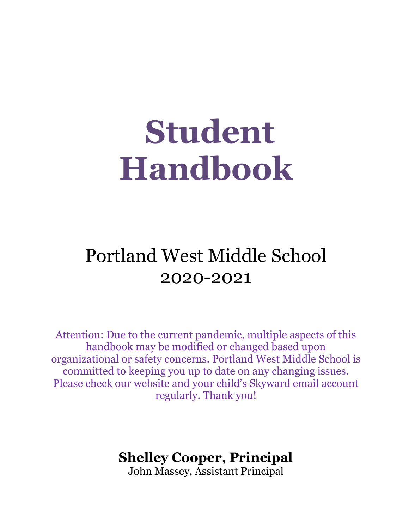# **Student Handbook**

# Portland West Middle School 2020-2021

Attention: Due to the current pandemic, multiple aspects of this handbook may be modified or changed based upon organizational or safety concerns. Portland West Middle School is committed to keeping you up to date on any changing issues. Please check our website and your child's Skyward email account regularly. Thank you!

# **Shelley Cooper, Principal**

John Massey, Assistant Principal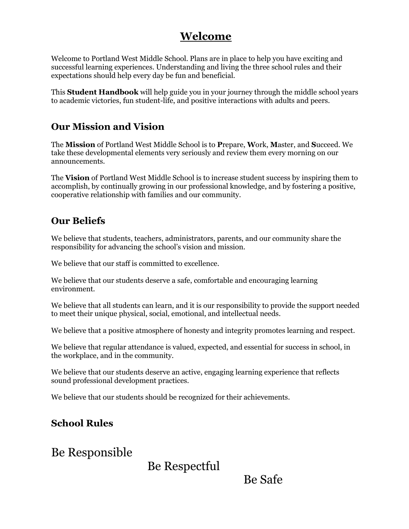# **Welcome**

Welcome to Portland West Middle School. Plans are in place to help you have exciting and successful learning experiences. Understanding and living the three school rules and their expectations should help every day be fun and beneficial.

This **Student Handbook** will help guide you in your journey through the middle school years to academic victories, fun student-life, and positive interactions with adults and peers.

#### **Our Mission and Vision**

The **Mission** of Portland West Middle School is to **P**repare, **W**ork, **M**aster, and **S**ucceed. We take these developmental elements very seriously and review them every morning on our announcements.

The **Vision** of Portland West Middle School is to increase student success by inspiring them to accomplish, by continually growing in our professional knowledge, and by fostering a positive, cooperative relationship with families and our community.

#### **Our Beliefs**

We believe that students, teachers, administrators, parents, and our community share the responsibility for advancing the school's vision and mission.

We believe that our staff is committed to excellence.

We believe that our students deserve a safe, comfortable and encouraging learning environment.

We believe that all students can learn, and it is our responsibility to provide the support needed to meet their unique physical, social, emotional, and intellectual needs.

We believe that a positive atmosphere of honesty and integrity promotes learning and respect.

We believe that regular attendance is valued, expected, and essential for success in school, in the workplace, and in the community.

We believe that our students deserve an active, engaging learning experience that reflects sound professional development practices.

We believe that our students should be recognized for their achievements.

#### **School Rules**

Be Responsible

Be Respectful

Be Safe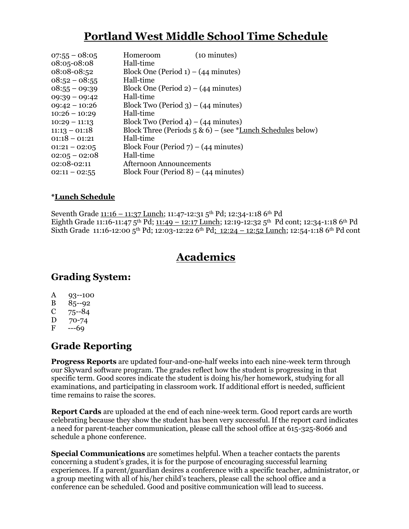# **Portland West Middle School Time Schedule**

| $07:55 - 08:05$ | (10 minutes)<br>Homeroom                                               |
|-----------------|------------------------------------------------------------------------|
| 08:05-08:08     | Hall-time                                                              |
| 08:08-08:52     | Block One (Period $1) - (44$ minutes)                                  |
| $08:52 - 08:55$ | Hall-time                                                              |
| $08:55 - 09:39$ | Block One (Period $2) - (44$ minutes)                                  |
| $09:39 - 09:42$ | Hall-time                                                              |
| $09:42 - 10:26$ | Block Two (Period 3) – $(44$ minutes)                                  |
| $10:26 - 10:29$ | Hall-time                                                              |
| $10:29 - 11:13$ | Block Two (Period 4) – $(44$ minutes)                                  |
| $11:13 - 01:18$ | Block Three (Periods $5 \& 6$ ) – (see * <u>Lunch Schedules</u> below) |
| $01:18 - 01:21$ | Hall-time                                                              |
| $01:21 - 02:05$ | Block Four (Period $7$ ) – (44 minutes)                                |
| $02:05 - 02:08$ | Hall-time                                                              |
| 02:08-02:11     | <b>Afternoon Announcements</b>                                         |
| $02:11 - 02:55$ | Block Four (Period $8$ ) – (44 minutes)                                |

#### **\*Lunch Schedule**

Seventh Grade 11:16 - 11:37 Lunch; 11:47-12:31 5<sup>th</sup> Pd; 12:34-1:18 6<sup>th</sup> Pd Eighth Grade 11:16-11:47 5<sup>th</sup> Pd; 11:49 - 12:17 Lunch; 12:19-12:32 5<sup>th</sup> Pd cont; 12:34-1:18 6<sup>th</sup> Pd Sixth Grade 11:16-12:00 5<sup>th</sup> Pd; 12:03-12:22 6<sup>th</sup> Pd; 12:24 - 12:52 Lunch; 12:54-1:18 6<sup>th</sup> Pd cont

# **Academics**

#### **Grading System:**

- A 93--100
- B 85--92
- $C = 75 84$
- D 70-74
- $F \rightarrow -69$

#### **Grade Reporting**

**Progress Reports** are updated four-and-one-half weeks into each nine-week term through our Skyward software program. The grades reflect how the student is progressing in that specific term. Good scores indicate the student is doing his/her homework, studying for all examinations, and participating in classroom work. If additional effort is needed, sufficient time remains to raise the scores.

**Report Cards** are uploaded at the end of each nine-week term. Good report cards are worth celebrating because they show the student has been very successful. If the report card indicates a need for parent-teacher communication, please call the school office at 615-325-8066 and schedule a phone conference.

**Special Communications** are sometimes helpful. When a teacher contacts the parents concerning a student's grades, it is for the purpose of encouraging successful learning experiences. If a parent/guardian desires a conference with a specific teacher, administrator, or a group meeting with all of his/her child's teachers, please call the school office and a conference can be scheduled. Good and positive communication will lead to success.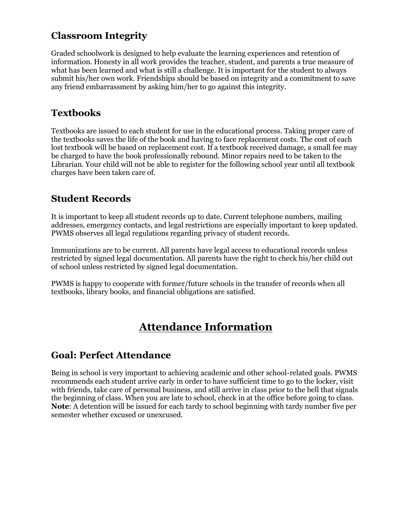#### **Classroom Integrity**

Graded schoolwork is designed to help evaluate the learning experiences and retention of information. Honesty in all work provides the teacher, student, and parents a true measure of what has been learned and what is still a challenge. It is important for the student to always submit his/her own work. Friendships should be based on integrity and a commitment to save any friend embarrassment by asking him/her to go against this integrity.

#### **Textbooks**

Textbooks are issued to each student for use in the educational process. Taking proper care of the textbooks saves the life of the book and having to face replacement costs. The cost of each lost textbook will be based on replacement cost. If a textbook received damage, a small fee may be charged to have the book professionally rebound. Minor repairs need to be taken to the Librarian. Your child will not be able to register for the following school year until all textbook charges have been taken care of.

#### **Student Records**

It is important to keep all student records up to date. Current telephone numbers, mailing addresses, emergency contacts, and legal restrictions are especially important to keep updated. PWMS observes all legal regulations regarding privacy of student records.

Immunizations are to be current. All parents have legal access to educational records unless restricted by signed legal documentation. All parents have the right to check his/her child out of school unless restricted by signed legal documentation.

PWMS is happy to cooperate with former/future schools in the transfer of records when all textbooks, library books, and financial obligations are satisfied.

# **Attendance Information**

#### **Goal: Perfect Attendance**

Being in school is very important to achieving academic and other school-related goals. PWMS recommends each student arrive early in order to have sufficient time to go to the locker, visit with friends, take care of personal business, and still arrive in class prior to the bell that signals the beginning of class. When you are late to school, check in at the office before going to class. **Note**: A detention will be issued for each tardy to school beginning with tardy number five per semester whether excused or unexcused.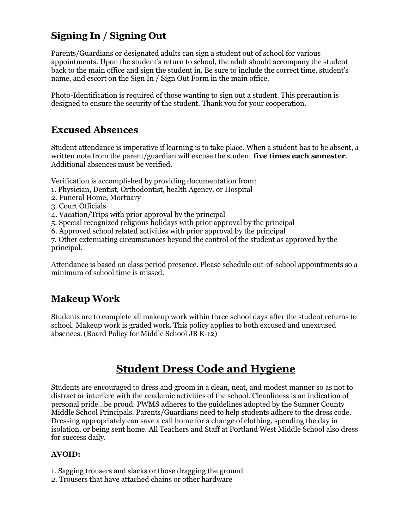# **Signing In / Signing Out**

Parents/Guardians or designated adults can sign a student out of school for various appointments. Upon the student's return to school, the adult should accompany the student back to the main office and sign the student in. Be sure to include the correct time, student's name, and escort on the Sign In / Sign Out Form in the main office.

Photo-Identification is required of those wanting to sign out a student. This precaution is designed to ensure the security of the student. Thank you for your cooperation.

#### **Excused Absences**

Student attendance is imperative if learning is to take place. When a student has to be absent, a written note from the parent/guardian will excuse the student **five times each semester**. Additional absences must be verified.

Verification is accomplished by providing documentation from:

- 1. Physician, Dentist, Orthodontist, health Agency, or Hospital
- 2. Funeral Home, Mortuary
- 3. Court Officials
- 4. Vacation/Trips with prior approval by the principal
- 5. Special recognized religious holidays with prior approval by the principal
- 6. Approved school related activities with prior approval by the principal

7. Other extenuating circumstances beyond the control of the student as approved by the principal.

Attendance is based on class period presence. Please schedule out-of-school appointments so a minimum of school time is missed.

#### **Makeup Work**

Students are to complete all makeup work within three school days after the student returns to school. Makeup work is graded work. This policy applies to both excused and unexcused absences. (Board Policy for Middle School JB K-12)

# **Student Dress Code and Hygiene**

Students are encouraged to dress and groom in a clean, neat, and modest manner so as not to distract or interfere with the academic activities of the school. Cleanliness is an indication of personal pride...be proud. PWMS adheres to the guidelines adopted by the Sumner County Middle School Principals. Parents/Guardians need to help students adhere to the dress code. Dressing appropriately can save a call home for a change of clothing, spending the day in isolation, or being sent home. All Teachers and Staff at Portland West Middle School also dress for success daily.

#### **AVOID:**

- 1. Sagging trousers and slacks or those dragging the ground
- 2. Trousers that have attached chains or other hardware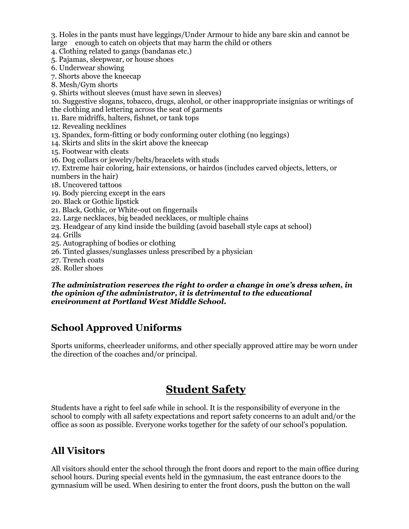3. Holes in the pants must have leggings/Under Armour to hide any bare skin and cannot be large enough to catch on objects that may harm the child or others

4. Clothing related to gangs (bandanas etc.)

5. Pajamas, sleepwear, or house shoes

6. Underwear showing

7. Shorts above the kneecap

8. Mesh/Gym shorts

9. Shirts without sleeves (must have sewn in sleeves)

10. Suggestive slogans, tobacco, drugs, alcohol, or other inappropriate insignias or writings of the clothing and lettering across the seat of garments

11. Bare midriffs, halters, fishnet, or tank tops

12. Revealing necklines

13. Spandex, form-fitting or body conforming outer clothing (no leggings)

14. Skirts and slits in the skirt above the kneecap

- 15. Footwear with cleats
- 16. Dog collars or jewelry/belts/bracelets with studs

17. Extreme hair coloring, hair extensions, or hairdos (includes carved objects, letters, or numbers in the hair)

18. Uncovered tattoos

- 19. Body piercing except in the ears
- 20. Black or Gothic lipstick
- 21. Black, Gothic, or White-out on fingernails
- 22. Large necklaces, big beaded necklaces, or multiple chains
- 23. Headgear of any kind inside the building (avoid baseball style caps at school)

24. Grills

- 25. Autographing of bodies or clothing
- 26. Tinted glasses/sunglasses unless prescribed by a physician
- 27. Trench coats
- 28. Roller shoes

#### *The administration reserves the right to order a change in one's dress when, in the opinion of the administrator, it is detrimental to the educational environment at Portland West Middle School***.**

#### **School Approved Uniforms**

Sports uniforms, cheerleader uniforms, and other specially approved attire may be worn under the direction of the coaches and/or principal.

# **Student Safety**

Students have a right to feel safe while in school. It is the responsibility of everyone in the school to comply with all safety expectations and report safety concerns to an adult and/or the office as soon as possible. Everyone works together for the safety of our school's population.

#### **All Visitors**

All visitors should enter the school through the front doors and report to the main office during school hours. During special events held in the gymnasium, the east entrance doors to the gymnasium will be used. When desiring to enter the front doors, push the button on the wall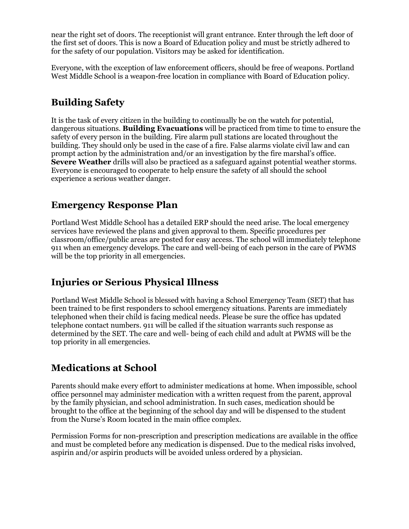near the right set of doors. The receptionist will grant entrance. Enter through the left door of the first set of doors. This is now a Board of Education policy and must be strictly adhered to for the safety of our population. Visitors may be asked for identification.

Everyone, with the exception of law enforcement officers, should be free of weapons. Portland West Middle School is a weapon-free location in compliance with Board of Education policy.

#### **Building Safety**

It is the task of every citizen in the building to continually be on the watch for potential, dangerous situations. **Building Evacuations** will be practiced from time to time to ensure the safety of every person in the building. Fire alarm pull stations are located throughout the building. They should only be used in the case of a fire. False alarms violate civil law and can prompt action by the administration and/or an investigation by the fire marshal's office. **Severe Weather** drills will also be practiced as a safeguard against potential weather storms. Everyone is encouraged to cooperate to help ensure the safety of all should the school experience a serious weather danger.

#### **Emergency Response Plan**

Portland West Middle School has a detailed ERP should the need arise. The local emergency services have reviewed the plans and given approval to them. Specific procedures per classroom/office/public areas are posted for easy access. The school will immediately telephone 911 when an emergency develops. The care and well-being of each person in the care of PWMS will be the top priority in all emergencies.

#### **Injuries or Serious Physical Illness**

Portland West Middle School is blessed with having a School Emergency Team (SET) that has been trained to be first responders to school emergency situations. Parents are immediately telephoned when their child is facing medical needs. Please be sure the office has updated telephone contact numbers. 911 will be called if the situation warrants such response as determined by the SET. The care and well- being of each child and adult at PWMS will be the top priority in all emergencies.

#### **Medications at School**

Parents should make every effort to administer medications at home. When impossible, school office personnel may administer medication with a written request from the parent, approval by the family physician, and school administration. In such cases, medication should be brought to the office at the beginning of the school day and will be dispensed to the student from the Nurse's Room located in the main office complex.

Permission Forms for non-prescription and prescription medications are available in the office and must be completed before any medication is dispensed. Due to the medical risks involved, aspirin and/or aspirin products will be avoided unless ordered by a physician.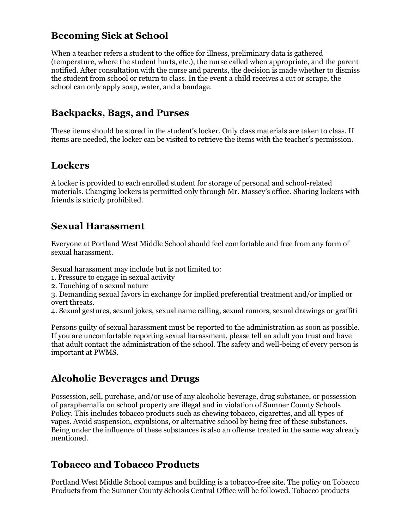#### **Becoming Sick at School**

When a teacher refers a student to the office for illness, preliminary data is gathered (temperature, where the student hurts, etc.), the nurse called when appropriate, and the parent notified. After consultation with the nurse and parents, the decision is made whether to dismiss the student from school or return to class. In the event a child receives a cut or scrape, the school can only apply soap, water, and a bandage.

#### **Backpacks, Bags, and Purses**

These items should be stored in the student's locker. Only class materials are taken to class. If items are needed, the locker can be visited to retrieve the items with the teacher's permission.

#### **Lockers**

A locker is provided to each enrolled student for storage of personal and school-related materials. Changing lockers is permitted only through Mr. Massey's office. Sharing lockers with friends is strictly prohibited.

#### **Sexual Harassment**

Everyone at Portland West Middle School should feel comfortable and free from any form of sexual harassment.

Sexual harassment may include but is not limited to:

- 1. Pressure to engage in sexual activity
- 2. Touching of a sexual nature

3. Demanding sexual favors in exchange for implied preferential treatment and/or implied or overt threats.

4. Sexual gestures, sexual jokes, sexual name calling, sexual rumors, sexual drawings or graffiti

Persons guilty of sexual harassment must be reported to the administration as soon as possible. If you are uncomfortable reporting sexual harassment, please tell an adult you trust and have that adult contact the administration of the school. The safety and well-being of every person is important at PWMS.

#### **Alcoholic Beverages and Drugs**

Possession, sell, purchase, and/or use of any alcoholic beverage, drug substance, or possession of paraphernalia on school property are illegal and in violation of Sumner County Schools Policy. This includes tobacco products such as chewing tobacco, cigarettes, and all types of vapes. Avoid suspension, expulsions, or alternative school by being free of these substances. Being under the influence of these substances is also an offense treated in the same way already mentioned.

#### **Tobacco and Tobacco Products**

Portland West Middle School campus and building is a tobacco-free site. The policy on Tobacco Products from the Sumner County Schools Central Office will be followed. Tobacco products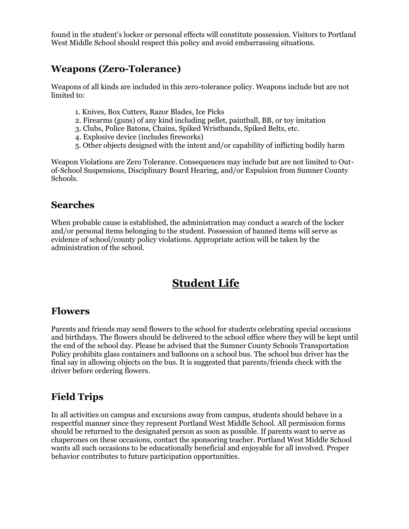found in the student's locker or personal effects will constitute possession. Visitors to Portland West Middle School should respect this policy and avoid embarrassing situations.

#### **Weapons (Zero-Tolerance)**

Weapons of all kinds are included in this zero-tolerance policy. Weapons include but are not limited to:

- 1. Knives, Box Cutters, Razor Blades, Ice Picks
- 2. Firearms (guns) of any kind including pellet, paintball, BB, or toy imitation
- 3. Clubs, Police Batons, Chains, Spiked Wristbands, Spiked Belts, etc.
- 4. Explosive device (includes fireworks)
- 5. Other objects designed with the intent and/or capability of inflicting bodily harm

Weapon Violations are Zero Tolerance. Consequences may include but are not limited to Outof-School Suspensions, Disciplinary Board Hearing, and/or Expulsion from Sumner County Schools.

#### **Searches**

When probable cause is established, the administration may conduct a search of the locker and/or personal items belonging to the student. Possession of banned items will serve as evidence of school/county policy violations. Appropriate action will be taken by the administration of the school.

# **Student Life**

#### **Flowers**

Parents and friends may send flowers to the school for students celebrating special occasions and birthdays. The flowers should be delivered to the school office where they will be kept until the end of the school day. Please be advised that the Sumner County Schools Transportation Policy prohibits glass containers and balloons on a school bus. The school bus driver has the final say in allowing objects on the bus. It is suggested that parents/friends check with the driver before ordering flowers.

#### **Field Trips**

In all activities on campus and excursions away from campus, students should behave in a respectful manner since they represent Portland West Middle School. All permission forms should be returned to the designated person as soon as possible. If parents want to serve as chaperones on these occasions, contact the sponsoring teacher. Portland West Middle School wants all such occasions to be educationally beneficial and enjoyable for all involved. Proper behavior contributes to future participation opportunities.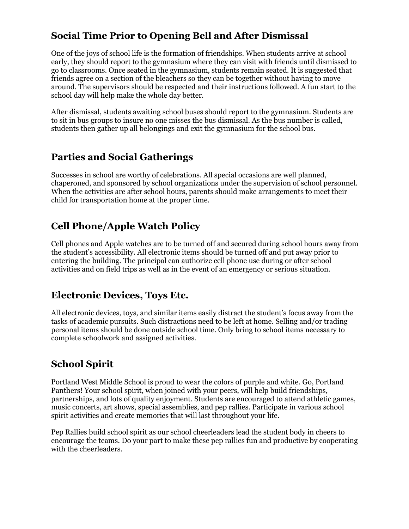#### **Social Time Prior to Opening Bell and After Dismissal**

One of the joys of school life is the formation of friendships. When students arrive at school early, they should report to the gymnasium where they can visit with friends until dismissed to go to classrooms. Once seated in the gymnasium, students remain seated. It is suggested that friends agree on a section of the bleachers so they can be together without having to move around. The supervisors should be respected and their instructions followed. A fun start to the school day will help make the whole day better.

After dismissal, students awaiting school buses should report to the gymnasium. Students are to sit in bus groups to insure no one misses the bus dismissal. As the bus number is called, students then gather up all belongings and exit the gymnasium for the school bus.

#### **Parties and Social Gatherings**

Successes in school are worthy of celebrations. All special occasions are well planned, chaperoned, and sponsored by school organizations under the supervision of school personnel. When the activities are after school hours, parents should make arrangements to meet their child for transportation home at the proper time.

#### **Cell Phone/Apple Watch Policy**

Cell phones and Apple watches are to be turned off and secured during school hours away from the student's accessibility. All electronic items should be turned off and put away prior to entering the building. The principal can authorize cell phone use during or after school activities and on field trips as well as in the event of an emergency or serious situation.

#### **Electronic Devices, Toys Etc.**

All electronic devices, toys, and similar items easily distract the student's focus away from the tasks of academic pursuits. Such distractions need to be left at home. Selling and/or trading personal items should be done outside school time. Only bring to school items necessary to complete schoolwork and assigned activities.

#### **School Spirit**

Portland West Middle School is proud to wear the colors of purple and white. Go, Portland Panthers! Your school spirit, when joined with your peers, will help build friendships, partnerships, and lots of quality enjoyment. Students are encouraged to attend athletic games, music concerts, art shows, special assemblies, and pep rallies. Participate in various school spirit activities and create memories that will last throughout your life.

Pep Rallies build school spirit as our school cheerleaders lead the student body in cheers to encourage the teams. Do your part to make these pep rallies fun and productive by cooperating with the cheerleaders.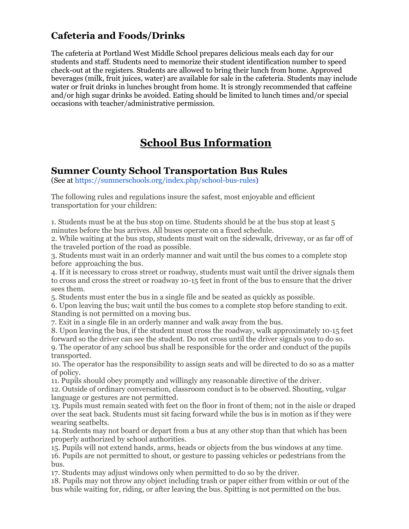#### **Cafeteria and Foods/Drinks**

The cafeteria at Portland West Middle School prepares delicious meals each day for our students and staff. Students need to memorize their student identification number to speed check-out at the registers. Students are allowed to bring their lunch from home. Approved beverages (milk, fruit juices, water) are available for sale in the cafeteria. Students may include water or fruit drinks in lunches brought from home. It is strongly recommended that caffeine and/or high sugar drinks be avoided. Eating should be limited to lunch times and/or special occasions with teacher/administrative permission.

# **School Bus Information**

#### **Sumner County School Transportation Bus Rules**

(See at https://sumnerschools.org/index.php/school-bus-rules)

The following rules and regulations insure the safest, most enjoyable and efficient transportation for your children:

1. Students must be at the bus stop on time. Students should be at the bus stop at least 5 minutes before the bus arrives. All buses operate on a fixed schedule.

2. While waiting at the bus stop, students must wait on the sidewalk, driveway, or as far off of the traveled portion of the road as possible.

3. Students must wait in an orderly manner and wait until the bus comes to a complete stop before approaching the bus.

4. If it is necessary to cross street or roadway, students must wait until the driver signals them to cross and cross the street or roadway 10-15 feet in front of the bus to ensure that the driver sees them.

5. Students must enter the bus in a single file and be seated as quickly as possible.

6. Upon leaving the bus; wait until the bus comes to a complete stop before standing to exit. Standing is not permitted on a moving bus.

7. Exit in a single file in an orderly manner and walk away from the bus.

8. Upon leaving the bus, if the student must cross the roadway, walk approximately 10‑15 feet forward so the driver can see the student. Do not cross until the driver signals you to do so.

9. The operator of any school bus shall be responsible for the order and conduct of the pupils transported.

10. The operator has the responsibility to assign seats and will be directed to do so as a matter of policy.

11. Pupils should obey promptly and willingly any reasonable directive of the driver.

12. Outside of ordinary conversation, classroom conduct is to be observed. Shouting, vulgar language or gestures are not permitted.

13. Pupils must remain seated with feet on the floor in front of them; not in the aisle or draped over the seat back. Students must sit facing forward while the bus is in motion as if they were wearing seatbelts.

14. Students may not board or depart from a bus at any other stop than that which has been properly authorized by school authorities.

15. Pupils will not extend hands, arms, heads or objects from the bus windows at any time. 16. Pupils are not permitted to shout, or gesture to passing vehicles or pedestrians from the bus.

17. Students may adjust windows only when permitted to do so by the driver.

18. Pupils may not throw any object including trash or paper either from within or out of the bus while waiting for, riding, or after leaving the bus. Spitting is not permitted on the bus.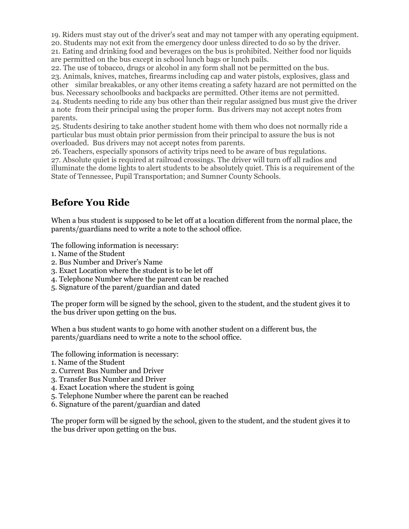19. Riders must stay out of the driver's seat and may not tamper with any operating equipment.

20. Students may not exit from the emergency door unless directed to do so by the driver. 21. Eating and drinking food and beverages on the bus is prohibited. Neither food nor liquids are permitted on the bus except in school lunch bags or lunch pails.

22. The use of tobacco, drugs or alcohol in any form shall not be permitted on the bus. 23. Animals, knives, matches, firearms including cap and water pistols, explosives, glass and other similar breakables, or any other items creating a safety hazard are not permitted on the bus. Necessary schoolbooks and backpacks are permitted. Other items are not permitted. 24. Students needing to ride any bus other than their regular assigned bus must give the driver a note from their principal using the proper form. Bus drivers may not accept notes from parents.

25. Students desiring to take another student home with them who does not normally ride a particular bus must obtain prior permission from their principal to assure the bus is not overloaded. Bus drivers may not accept notes from parents.

26. Teachers, especially sponsors of activity trips need to be aware of bus regulations. 27. Absolute quiet is required at railroad crossings. The driver will turn off all radios and illuminate the dome lights to alert students to be absolutely quiet. This is a requirement of the State of Tennessee, Pupil Transportation; and Sumner County Schools.

#### **Before You Ride**

When a bus student is supposed to be let off at a location different from the normal place, the parents/guardians need to write a note to the school office.

The following information is necessary:

- 1. Name of the Student
- 2. Bus Number and Driver's Name
- 3. Exact Location where the student is to be let off
- 4. Telephone Number where the parent can be reached
- 5. Signature of the parent/guardian and dated

The proper form will be signed by the school, given to the student, and the student gives it to the bus driver upon getting on the bus.

When a bus student wants to go home with another student on a different bus, the parents/guardians need to write a note to the school office.

The following information is necessary:

- 1. Name of the Student
- 2. Current Bus Number and Driver
- 3. Transfer Bus Number and Driver
- 4. Exact Location where the student is going
- 5. Telephone Number where the parent can be reached
- 6. Signature of the parent/guardian and dated

The proper form will be signed by the school, given to the student, and the student gives it to the bus driver upon getting on the bus.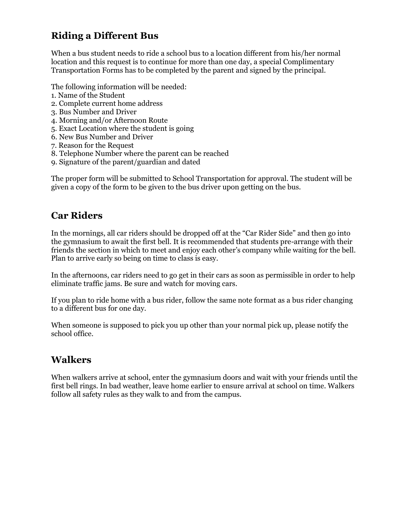#### **Riding a Different Bus**

When a bus student needs to ride a school bus to a location different from his/her normal location and this request is to continue for more than one day, a special Complimentary Transportation Forms has to be completed by the parent and signed by the principal.

The following information will be needed:

- 1. Name of the Student
- 2. Complete current home address
- 3. Bus Number and Driver
- 4. Morning and/or Afternoon Route
- 5. Exact Location where the student is going
- 6. New Bus Number and Driver
- 7. Reason for the Request
- 8. Telephone Number where the parent can be reached
- 9. Signature of the parent/guardian and dated

The proper form will be submitted to School Transportation for approval. The student will be given a copy of the form to be given to the bus driver upon getting on the bus.

#### **Car Riders**

In the mornings, all car riders should be dropped off at the "Car Rider Side" and then go into the gymnasium to await the first bell. It is recommended that students pre-arrange with their friends the section in which to meet and enjoy each other's company while waiting for the bell. Plan to arrive early so being on time to class is easy.

In the afternoons, car riders need to go get in their cars as soon as permissible in order to help eliminate traffic jams. Be sure and watch for moving cars.

If you plan to ride home with a bus rider, follow the same note format as a bus rider changing to a different bus for one day.

When someone is supposed to pick you up other than your normal pick up, please notify the school office.

#### **Walkers**

When walkers arrive at school, enter the gymnasium doors and wait with your friends until the first bell rings. In bad weather, leave home earlier to ensure arrival at school on time. Walkers follow all safety rules as they walk to and from the campus.